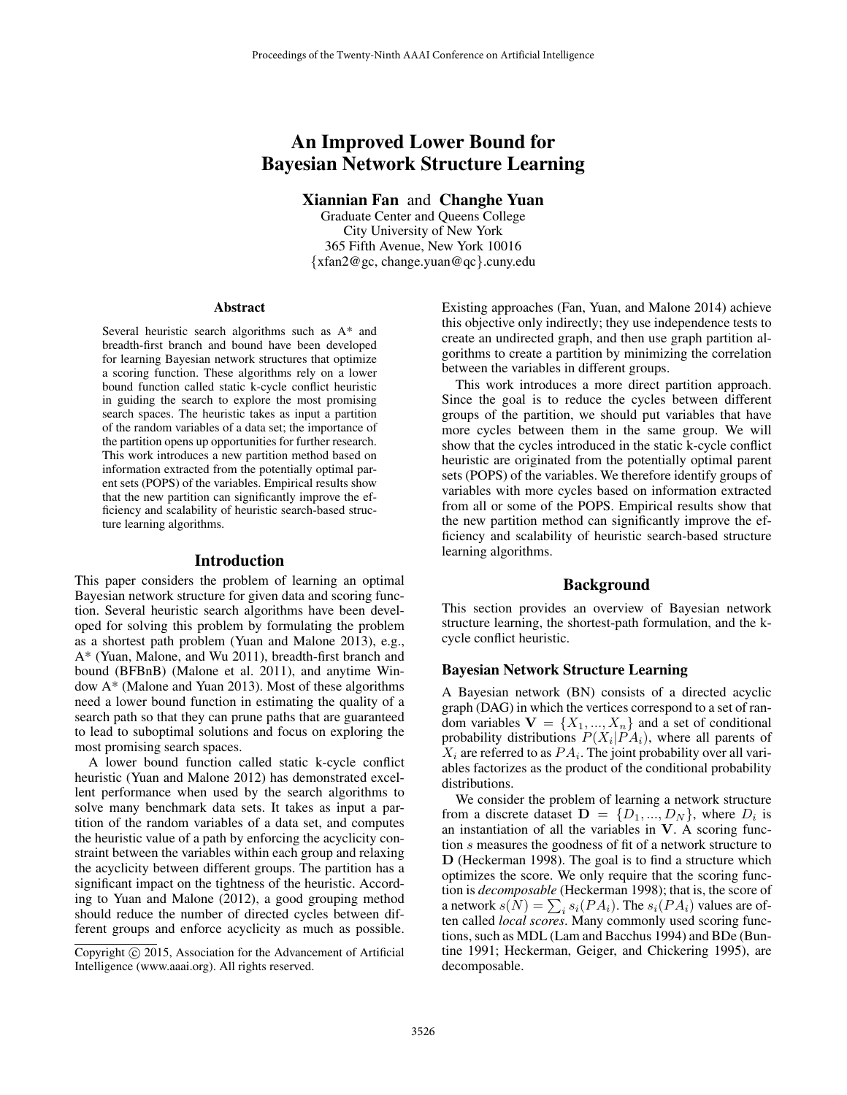# An Improved Lower Bound for Bayesian Network Structure Learning

Xiannian Fan and Changhe Yuan

Graduate Center and Queens College City University of New York 365 Fifth Avenue, New York 10016 {xfan2@gc, change.yuan@qc}.cuny.edu

#### Abstract

Several heuristic search algorithms such as A\* and breadth-first branch and bound have been developed for learning Bayesian network structures that optimize a scoring function. These algorithms rely on a lower bound function called static k-cycle conflict heuristic in guiding the search to explore the most promising search spaces. The heuristic takes as input a partition of the random variables of a data set; the importance of the partition opens up opportunities for further research. This work introduces a new partition method based on information extracted from the potentially optimal parent sets (POPS) of the variables. Empirical results show that the new partition can significantly improve the efficiency and scalability of heuristic search-based structure learning algorithms.

#### Introduction

This paper considers the problem of learning an optimal Bayesian network structure for given data and scoring function. Several heuristic search algorithms have been developed for solving this problem by formulating the problem as a shortest path problem (Yuan and Malone 2013), e.g., A\* (Yuan, Malone, and Wu 2011), breadth-first branch and bound (BFBnB) (Malone et al. 2011), and anytime Window A\* (Malone and Yuan 2013). Most of these algorithms need a lower bound function in estimating the quality of a search path so that they can prune paths that are guaranteed to lead to suboptimal solutions and focus on exploring the most promising search spaces.

A lower bound function called static k-cycle conflict heuristic (Yuan and Malone 2012) has demonstrated excellent performance when used by the search algorithms to solve many benchmark data sets. It takes as input a partition of the random variables of a data set, and computes the heuristic value of a path by enforcing the acyclicity constraint between the variables within each group and relaxing the acyclicity between different groups. The partition has a significant impact on the tightness of the heuristic. According to Yuan and Malone (2012), a good grouping method should reduce the number of directed cycles between different groups and enforce acyclicity as much as possible.

Existing approaches (Fan, Yuan, and Malone 2014) achieve this objective only indirectly; they use independence tests to create an undirected graph, and then use graph partition algorithms to create a partition by minimizing the correlation between the variables in different groups.

This work introduces a more direct partition approach. Since the goal is to reduce the cycles between different groups of the partition, we should put variables that have more cycles between them in the same group. We will show that the cycles introduced in the static k-cycle conflict heuristic are originated from the potentially optimal parent sets (POPS) of the variables. We therefore identify groups of variables with more cycles based on information extracted from all or some of the POPS. Empirical results show that the new partition method can significantly improve the efficiency and scalability of heuristic search-based structure learning algorithms.

## Background

This section provides an overview of Bayesian network structure learning, the shortest-path formulation, and the kcycle conflict heuristic.

#### Bayesian Network Structure Learning

A Bayesian network (BN) consists of a directed acyclic graph (DAG) in which the vertices correspond to a set of random variables  $V = \{X_1, ..., X_n\}$  and a set of conditional probability distributions  $P(X_i|PA_i)$ , where all parents of  $X_i$  are referred to as  $PA_i$ . The joint probability over all variables factorizes as the product of the conditional probability distributions.

We consider the problem of learning a network structure from a discrete dataset  $\mathbf{D} = \{D_1, ..., D_N\}$ , where  $D_i$  is an instantiation of all the variables in  $V$ . A scoring function s measures the goodness of fit of a network structure to D (Heckerman 1998). The goal is to find a structure which optimizes the score. We only require that the scoring function is *decomposable* (Heckerman 1998); that is, the score of a network  $s(N) = \sum_i s_i(PA_i)$ . The  $s_i(PA_i)$  values are often called *local scores*. Many commonly used scoring functions, such as MDL (Lam and Bacchus 1994) and BDe (Buntine 1991; Heckerman, Geiger, and Chickering 1995), are decomposable.

Copyright © 2015, Association for the Advancement of Artificial Intelligence (www.aaai.org). All rights reserved.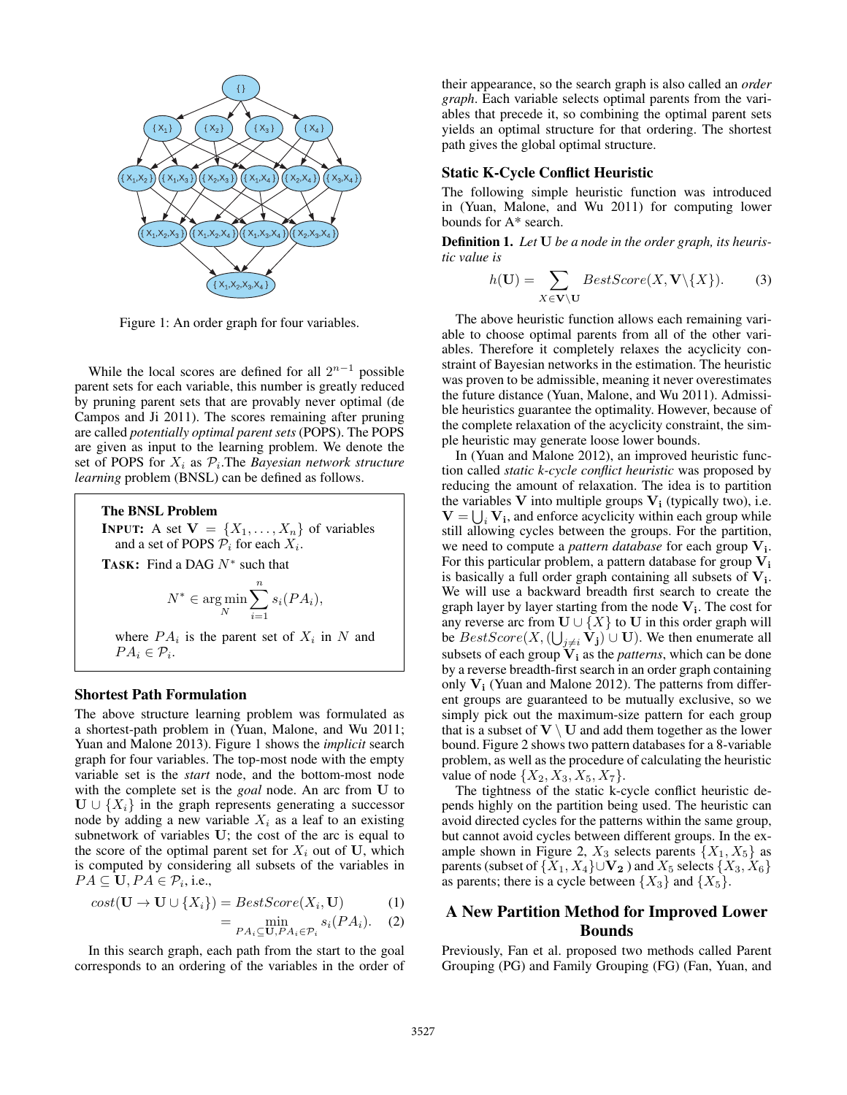

Figure 1: An order graph for four variables.

While the local scores are defined for all  $2^{n-1}$  possible parent sets for each variable, this number is greatly reduced by pruning parent sets that are provably never optimal (de Campos and Ji 2011). The scores remaining after pruning are called *potentially optimal parent sets* (POPS). The POPS are given as input to the learning problem. We denote the set of POPS for  $X_i$  as  $\mathcal{P}_i$ . The *Bayesian network structure learning* problem (BNSL) can be defined as follows.

#### The BNSL Problem

**INPUT:** A set  $\mathbf{V} = \{X_1, \ldots, X_n\}$  of variables and a set of POPS  $P_i$  for each  $X_i$ .

TASK: Find a DAG  $N^*$  such that

$$
N^* \in \argmin_N \sum_{i=1}^n s_i(PA_i),
$$

where  $PA_i$  is the parent set of  $X_i$  in N and  $PA_i \in \mathcal{P}_i$ .

#### Shortest Path Formulation

The above structure learning problem was formulated as a shortest-path problem in (Yuan, Malone, and Wu 2011; Yuan and Malone 2013). Figure 1 shows the *implicit* search graph for four variables. The top-most node with the empty variable set is the *start* node, and the bottom-most node with the complete set is the *goal* node. An arc from U to  $\mathbf{U} \cup \{X_i\}$  in the graph represents generating a successor node by adding a new variable  $X_i$  as a leaf to an existing subnetwork of variables U; the cost of the arc is equal to the score of the optimal parent set for  $X_i$  out of U, which is computed by considering all subsets of the variables in  $PA \subseteq U, PA \in \mathcal{P}_i$ , i.e.,

$$
cost(\mathbf{U} \to \mathbf{U} \cup \{X_i\}) = BestScore(X_i, \mathbf{U})
$$
 (1)

$$
= \min_{PA_i \subseteq \mathbf{U}, PA_i \in \mathcal{P}_i} s_i(PA_i). \quad (2)
$$

In this search graph, each path from the start to the goal corresponds to an ordering of the variables in the order of their appearance, so the search graph is also called an *order graph*. Each variable selects optimal parents from the variables that precede it, so combining the optimal parent sets yields an optimal structure for that ordering. The shortest path gives the global optimal structure.

#### Static K-Cycle Conflict Heuristic

The following simple heuristic function was introduced in (Yuan, Malone, and Wu 2011) for computing lower bounds for A\* search.

Definition 1. *Let* U *be a node in the order graph, its heuristic value is*

$$
h(\mathbf{U}) = \sum_{X \in \mathbf{V} \setminus \mathbf{U}} BestScore(X, \mathbf{V} \setminus \{X\}).
$$
 (3)

The above heuristic function allows each remaining variable to choose optimal parents from all of the other variables. Therefore it completely relaxes the acyclicity constraint of Bayesian networks in the estimation. The heuristic was proven to be admissible, meaning it never overestimates the future distance (Yuan, Malone, and Wu 2011). Admissible heuristics guarantee the optimality. However, because of the complete relaxation of the acyclicity constraint, the simple heuristic may generate loose lower bounds.

In (Yuan and Malone 2012), an improved heuristic function called *static k-cycle conflict heuristic* was proposed by reducing the amount of relaxation. The idea is to partition the variables  $V$  into multiple groups  $V_i$  (typically two), i.e.  $V = \bigcup_i V_i$ , and enforce acyclicity within each group while still allowing cycles between the groups. For the partition, we need to compute a *pattern database* for each group V<sub>i</sub>. For this particular problem, a pattern database for group  $V_i$ is basically a full order graph containing all subsets of  $V_i$ . We will use a backward breadth first search to create the graph layer by layer starting from the node  $V_i$ . The cost for any reverse arc from  $U \cup \{X\}$  to U in this order graph will be  $BestScore(X, (\bigcup_{j \neq i} V_j) \cup U)$ . We then enumerate all subsets of each group  $V_i$  as the *patterns*, which can be done by a reverse breadth-first search in an order graph containing only  $V_i$  (Yuan and Malone 2012). The patterns from different groups are guaranteed to be mutually exclusive, so we simply pick out the maximum-size pattern for each group that is a subset of  $V \setminus U$  and add them together as the lower bound. Figure 2 shows two pattern databases for a 8-variable problem, as well as the procedure of calculating the heuristic value of node  $\{X_2, X_3, X_5, X_7\}.$ 

The tightness of the static k-cycle conflict heuristic depends highly on the partition being used. The heuristic can avoid directed cycles for the patterns within the same group, but cannot avoid cycles between different groups. In the example shown in Figure 2,  $X_3$  selects parents  $\{X_1, X_5\}$  as parents (subset of  $\{X_1, X_4\} \cup \mathbf{V_2}$ ) and  $X_5$  selects  $\{X_3, X_6\}$ as parents; there is a cycle between  $\{X_3\}$  and  $\{X_5\}$ .

# A New Partition Method for Improved Lower Bounds

Previously, Fan et al. proposed two methods called Parent Grouping (PG) and Family Grouping (FG) (Fan, Yuan, and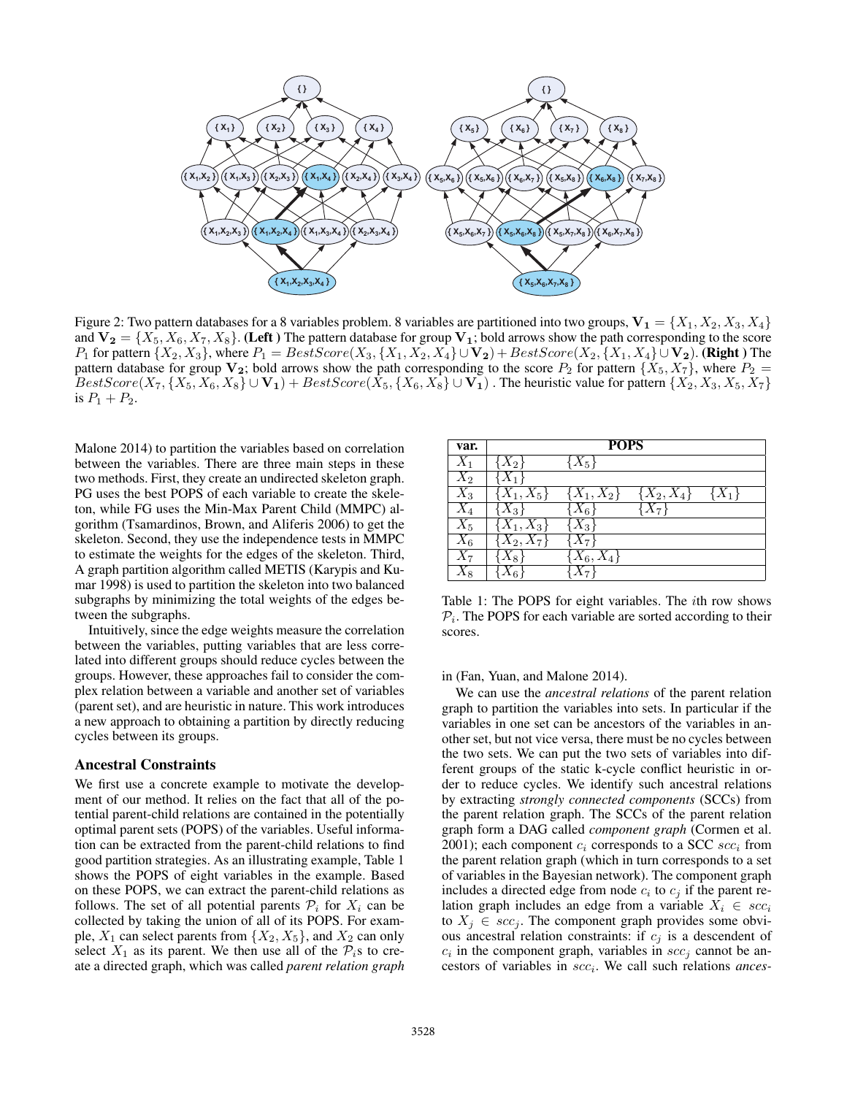

Figure 2: Two pattern databases for a 8 variables problem. 8 variables are partitioned into two groups,  $V_1 = \{X_1, X_2, X_3, X_4\}$ and  $V_2 = \{X_5, X_6, X_7, X_8\}$ . (Left ) The pattern database for group  $V_1$ ; bold arrows show the path corresponding to the score P<sub>1</sub> for pattern  $\{X_2, X_3\}$ , where  $P_1 = BestScore(X_3, \{X_1, X_2, X_4\} \cup V_2) + BestScore(X_2, \{X_1, X_4\} \cup V_2)$ . (Right ) The pattern database for group  $V_2$ ; bold arrows show the path corresponding to the score  $P_2$  for pattern  $\{X_5, X_7\}$ , where  $P_2$  =  $BestScore(X_7, \{X_5, X_6, X_8\} \cup \mathbf{V_1}) + BestScore(X_5, \{X_6, X_8\} \cup \mathbf{V_1})$ . The heuristic value for pattern  $\{X_2, X_3, X_5, X_7\}$ is  $P_1 + P_2$ .

Malone 2014) to partition the variables based on correlation between the variables. There are three main steps in these two methods. First, they create an undirected skeleton graph. PG uses the best POPS of each variable to create the skeleton, while FG uses the Min-Max Parent Child (MMPC) algorithm (Tsamardinos, Brown, and Aliferis 2006) to get the skeleton. Second, they use the independence tests in MMPC to estimate the weights for the edges of the skeleton. Third, A graph partition algorithm called METIS (Karypis and Kumar 1998) is used to partition the skeleton into two balanced subgraphs by minimizing the total weights of the edges between the subgraphs.

Intuitively, since the edge weights measure the correlation between the variables, putting variables that are less correlated into different groups should reduce cycles between the groups. However, these approaches fail to consider the complex relation between a variable and another set of variables (parent set), and are heuristic in nature. This work introduces a new approach to obtaining a partition by directly reducing cycles between its groups.

#### Ancestral Constraints

We first use a concrete example to motivate the development of our method. It relies on the fact that all of the potential parent-child relations are contained in the potentially optimal parent sets (POPS) of the variables. Useful information can be extracted from the parent-child relations to find good partition strategies. As an illustrating example, Table 1 shows the POPS of eight variables in the example. Based on these POPS, we can extract the parent-child relations as follows. The set of all potential parents  $P_i$  for  $X_i$  can be collected by taking the union of all of its POPS. For example,  $X_1$  can select parents from  $\{X_2, X_5\}$ , and  $X_2$  can only select  $X_1$  as its parent. We then use all of the  $\mathcal{P}_i$ s to create a directed graph, which was called *parent relation graph*

| var.               | <b>POPS</b>             |                                           |                |       |  |  |  |  |  |
|--------------------|-------------------------|-------------------------------------------|----------------|-------|--|--|--|--|--|
| $X_1$              | $X_2$                   | $\{X_5\}$                                 |                |       |  |  |  |  |  |
| $\bar X_2$         |                         |                                           |                |       |  |  |  |  |  |
| $\bar{X}_3$        | $\overline{X_1},X_5\}$  | $\{ \overline{X}_1, X_{\underline{2}} \}$ | $\{X_2, X_4\}$ | $X_1$ |  |  |  |  |  |
| $X_4$              | $X_3$                   | $X_6$                                     | $X_7$          |       |  |  |  |  |  |
| $\overline{X}_5$   | $\overline{X_1}, X_3\}$ | $\overline{X}_3$                          |                |       |  |  |  |  |  |
| $\overline{X}_6$   | $\overline{X_2,X_7}\}$  | $X_7^-$                                   |                |       |  |  |  |  |  |
| $X_7$              | $\chi_{8}$              | $X_6,X_4\}$                               |                |       |  |  |  |  |  |
| $\scriptstyle X_8$ | 6                       |                                           |                |       |  |  |  |  |  |

Table 1: The POPS for eight variables. The ith row shows  $P_i$ . The POPS for each variable are sorted according to their scores.

#### in (Fan, Yuan, and Malone 2014).

We can use the *ancestral relations* of the parent relation graph to partition the variables into sets. In particular if the variables in one set can be ancestors of the variables in another set, but not vice versa, there must be no cycles between the two sets. We can put the two sets of variables into different groups of the static k-cycle conflict heuristic in order to reduce cycles. We identify such ancestral relations by extracting *strongly connected components* (SCCs) from the parent relation graph. The SCCs of the parent relation graph form a DAG called *component graph* (Cormen et al. 2001); each component  $c_i$  corresponds to a SCC  $\mathit{scc}_i$  from the parent relation graph (which in turn corresponds to a set of variables in the Bayesian network). The component graph includes a directed edge from node  $c_i$  to  $c_j$  if the parent relation graph includes an edge from a variable  $X_i \in \mathit{scc}_i$ to  $X_j \in \mathit{scc}_j$ . The component graph provides some obvious ancestral relation constraints: if  $c_j$  is a descendent of  $c_i$  in the component graph, variables in  $scc_j$  cannot be ancestors of variables in scc<sub>i</sub>. We call such relations ances-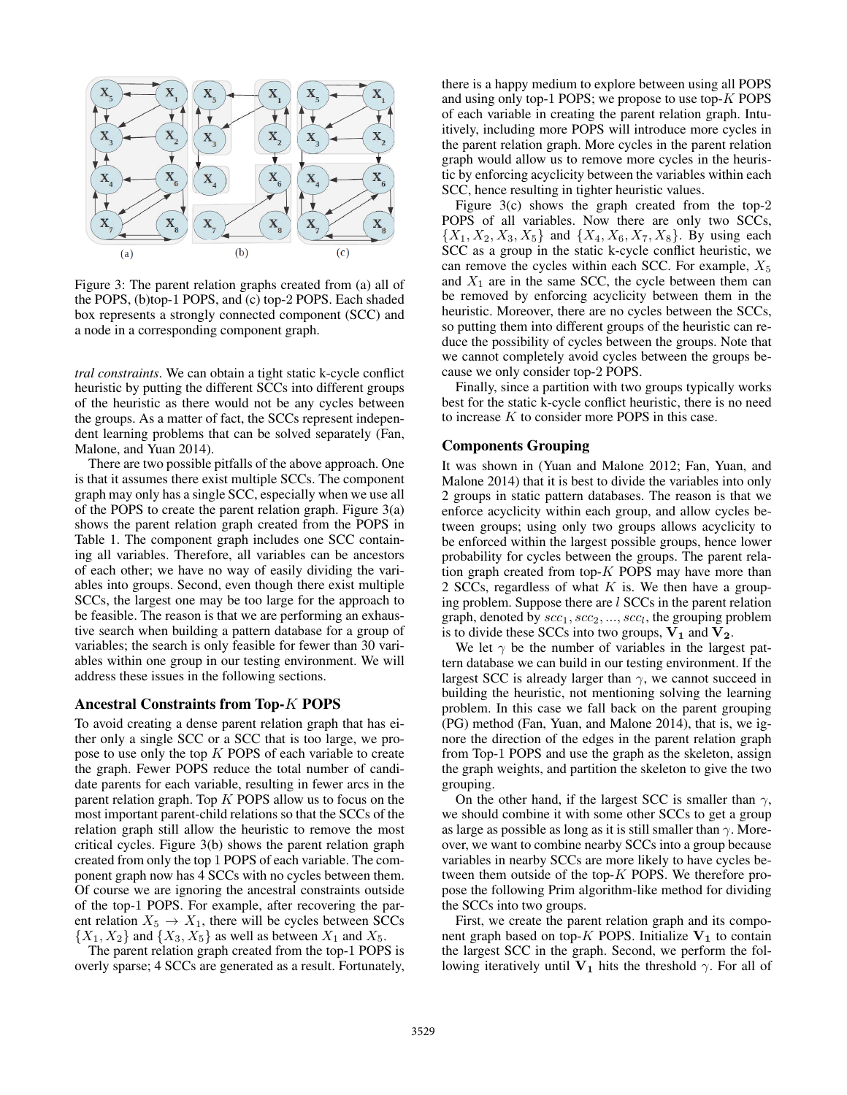

Figure 3: The parent relation graphs created from (a) all of the POPS, (b)top-1 POPS, and (c) top-2 POPS. Each shaded box represents a strongly connected component (SCC) and a node in a corresponding component graph.

*tral constraints*. We can obtain a tight static k-cycle conflict heuristic by putting the different SCCs into different groups of the heuristic as there would not be any cycles between the groups. As a matter of fact, the SCCs represent independent learning problems that can be solved separately (Fan, Malone, and Yuan 2014).

There are two possible pitfalls of the above approach. One is that it assumes there exist multiple SCCs. The component graph may only has a single SCC, especially when we use all of the POPS to create the parent relation graph. Figure  $3(a)$ shows the parent relation graph created from the POPS in Table 1. The component graph includes one SCC containing all variables. Therefore, all variables can be ancestors of each other; we have no way of easily dividing the variables into groups. Second, even though there exist multiple SCCs, the largest one may be too large for the approach to be feasible. The reason is that we are performing an exhaustive search when building a pattern database for a group of variables; the search is only feasible for fewer than 30 variables within one group in our testing environment. We will address these issues in the following sections.

#### Ancestral Constraints from Top-K POPS

To avoid creating a dense parent relation graph that has either only a single SCC or a SCC that is too large, we propose to use only the top K POPS of each variable to create the graph. Fewer POPS reduce the total number of candidate parents for each variable, resulting in fewer arcs in the parent relation graph. Top  $K$  POPS allow us to focus on the most important parent-child relations so that the SCCs of the relation graph still allow the heuristic to remove the most critical cycles. Figure 3(b) shows the parent relation graph created from only the top 1 POPS of each variable. The component graph now has 4 SCCs with no cycles between them. Of course we are ignoring the ancestral constraints outside of the top-1 POPS. For example, after recovering the parent relation  $X_5 \to X_1$ , there will be cycles between SCCs  $\{X_1, X_2\}$  and  $\{X_3, X_5\}$  as well as between  $X_1$  and  $X_5$ .

The parent relation graph created from the top-1 POPS is overly sparse; 4 SCCs are generated as a result. Fortunately,

there is a happy medium to explore between using all POPS and using only top-1 POPS; we propose to use top-K POPS of each variable in creating the parent relation graph. Intuitively, including more POPS will introduce more cycles in the parent relation graph. More cycles in the parent relation graph would allow us to remove more cycles in the heuristic by enforcing acyclicity between the variables within each SCC, hence resulting in tighter heuristic values.

Figure 3(c) shows the graph created from the top-2 POPS of all variables. Now there are only two SCCs,  $\{X_1, X_2, X_3, X_5\}$  and  $\{X_4, X_6, X_7, X_8\}$ . By using each SCC as a group in the static k-cycle conflict heuristic, we can remove the cycles within each SCC. For example,  $X_5$ and  $X_1$  are in the same SCC, the cycle between them can be removed by enforcing acyclicity between them in the heuristic. Moreover, there are no cycles between the SCCs, so putting them into different groups of the heuristic can reduce the possibility of cycles between the groups. Note that we cannot completely avoid cycles between the groups because we only consider top-2 POPS.

Finally, since a partition with two groups typically works best for the static k-cycle conflict heuristic, there is no need to increase  $K$  to consider more POPS in this case.

### Components Grouping

It was shown in (Yuan and Malone 2012; Fan, Yuan, and Malone 2014) that it is best to divide the variables into only 2 groups in static pattern databases. The reason is that we enforce acyclicity within each group, and allow cycles between groups; using only two groups allows acyclicity to be enforced within the largest possible groups, hence lower probability for cycles between the groups. The parent relation graph created from top- $K$  POPS may have more than 2 SCCs, regardless of what  $K$  is. We then have a grouping problem. Suppose there are l SCCs in the parent relation graph, denoted by  $\mathit{scc}_1, \mathit{scc}_2, ..., \mathit{scc}_l$ , the grouping problem is to divide these SCCs into two groups,  $V_1$  and  $V_2$ .

We let  $\gamma$  be the number of variables in the largest pattern database we can build in our testing environment. If the largest SCC is already larger than  $\gamma$ , we cannot succeed in building the heuristic, not mentioning solving the learning problem. In this case we fall back on the parent grouping (PG) method (Fan, Yuan, and Malone 2014), that is, we ignore the direction of the edges in the parent relation graph from Top-1 POPS and use the graph as the skeleton, assign the graph weights, and partition the skeleton to give the two grouping.

On the other hand, if the largest SCC is smaller than  $\gamma$ , we should combine it with some other SCCs to get a group as large as possible as long as it is still smaller than  $\gamma$ . Moreover, we want to combine nearby SCCs into a group because variables in nearby SCCs are more likely to have cycles between them outside of the top- $K$  POPS. We therefore propose the following Prim algorithm-like method for dividing the SCCs into two groups.

First, we create the parent relation graph and its component graph based on top-K POPS. Initialize  $V_1$  to contain the largest SCC in the graph. Second, we perform the following iteratively until  $V_1$  hits the threshold  $\gamma$ . For all of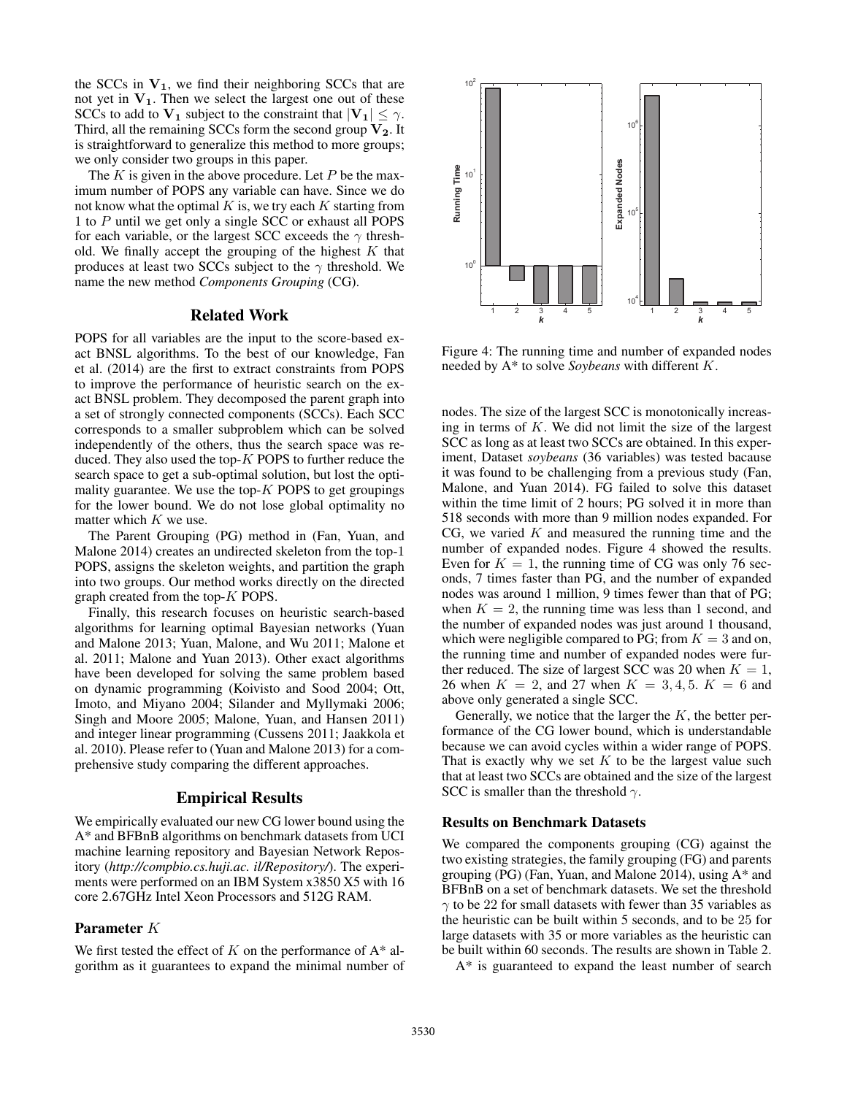the SCCs in  $V_1$ , we find their neighboring SCCs that are not yet in  $V_1$ . Then we select the largest one out of these SCCs to add to  $V_1$  subject to the constraint that  $|V_1| \leq \gamma$ . Third, all the remaining SCCs form the second group  $V_2$ . It is straightforward to generalize this method to more groups; we only consider two groups in this paper.

The  $K$  is given in the above procedure. Let  $P$  be the maximum number of POPS any variable can have. Since we do not know what the optimal  $K$  is, we try each  $K$  starting from 1 to P until we get only a single SCC or exhaust all POPS for each variable, or the largest SCC exceeds the  $\gamma$  threshold. We finally accept the grouping of the highest  $K$  that produces at least two SCCs subject to the  $\gamma$  threshold. We name the new method *Components Grouping* (CG).

# Related Work

POPS for all variables are the input to the score-based exact BNSL algorithms. To the best of our knowledge, Fan et al. (2014) are the first to extract constraints from POPS to improve the performance of heuristic search on the exact BNSL problem. They decomposed the parent graph into a set of strongly connected components (SCCs). Each SCC corresponds to a smaller subproblem which can be solved independently of the others, thus the search space was reduced. They also used the top- $K$  POPS to further reduce the search space to get a sub-optimal solution, but lost the optimality guarantee. We use the top- $K$  POPS to get groupings for the lower bound. We do not lose global optimality no matter which  $K$  we use.

The Parent Grouping (PG) method in (Fan, Yuan, and Malone 2014) creates an undirected skeleton from the top-1 POPS, assigns the skeleton weights, and partition the graph into two groups. Our method works directly on the directed graph created from the top-K POPS.

Finally, this research focuses on heuristic search-based algorithms for learning optimal Bayesian networks (Yuan and Malone 2013; Yuan, Malone, and Wu 2011; Malone et al. 2011; Malone and Yuan 2013). Other exact algorithms have been developed for solving the same problem based on dynamic programming (Koivisto and Sood 2004; Ott, Imoto, and Miyano 2004; Silander and Myllymaki 2006; Singh and Moore 2005; Malone, Yuan, and Hansen 2011) and integer linear programming (Cussens 2011; Jaakkola et al. 2010). Please refer to (Yuan and Malone 2013) for a comprehensive study comparing the different approaches.

### Empirical Results

We empirically evaluated our new CG lower bound using the A\* and BFBnB algorithms on benchmark datasets from UCI machine learning repository and Bayesian Network Repository (*http://compbio.cs.huji.ac. il/Repository/*). The experiments were performed on an IBM System x3850 X5 with 16 core 2.67GHz Intel Xeon Processors and 512G RAM.

# Parameter K

We first tested the effect of  $K$  on the performance of  $A^*$  algorithm as it guarantees to expand the minimal number of



Figure 4: The running time and number of expanded nodes needed by A\* to solve *Soybeans* with different K.

nodes. The size of the largest SCC is monotonically increasing in terms of  $K$ . We did not limit the size of the largest SCC as long as at least two SCCs are obtained. In this experiment, Dataset *soybeans* (36 variables) was tested bacause it was found to be challenging from a previous study (Fan, Malone, and Yuan 2014). FG failed to solve this dataset within the time limit of 2 hours; PG solved it in more than 518 seconds with more than 9 million nodes expanded. For CG, we varied  $K$  and measured the running time and the number of expanded nodes. Figure 4 showed the results. Even for  $K = 1$ , the running time of CG was only 76 seconds, 7 times faster than PG, and the number of expanded nodes was around 1 million, 9 times fewer than that of PG; when  $K = 2$ , the running time was less than 1 second, and the number of expanded nodes was just around 1 thousand, which were negligible compared to PG; from  $K = 3$  and on, the running time and number of expanded nodes were further reduced. The size of largest SCC was 20 when  $K = 1$ , 26 when  $K = 2$ , and 27 when  $K = 3, 4, 5$ .  $K = 6$  and above only generated a single SCC.

Generally, we notice that the larger the  $K$ , the better performance of the CG lower bound, which is understandable because we can avoid cycles within a wider range of POPS. That is exactly why we set  $K$  to be the largest value such that at least two SCCs are obtained and the size of the largest SCC is smaller than the threshold  $\gamma$ .

#### Results on Benchmark Datasets

We compared the components grouping (CG) against the two existing strategies, the family grouping (FG) and parents grouping (PG) (Fan, Yuan, and Malone 2014), using A\* and BFBnB on a set of benchmark datasets. We set the threshold  $\gamma$  to be 22 for small datasets with fewer than 35 variables as the heuristic can be built within 5 seconds, and to be 25 for large datasets with 35 or more variables as the heuristic can be built within 60 seconds. The results are shown in Table 2.

A\* is guaranteed to expand the least number of search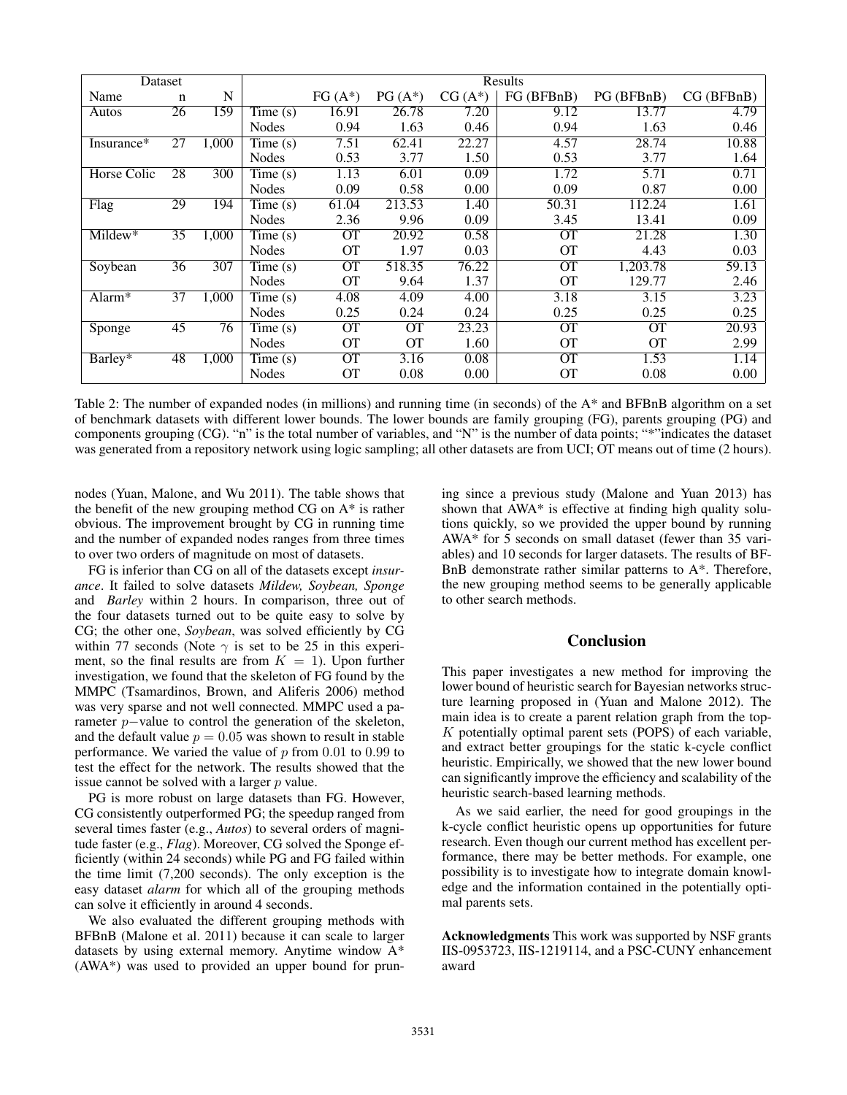| Dataset            |    | Results |                              |           |           |          |            |            |           |
|--------------------|----|---------|------------------------------|-----------|-----------|----------|------------|------------|-----------|
| Name               | n  | N       |                              | $FG(A^*)$ | $PG(A^*)$ | $CG(A*)$ | FG (BFBnB) | PG (BFBnB) | CG(BFBnB) |
| Autos              | 26 | 159     | Time $(s)$                   | 16.91     | 26.78     | 7.20     | 9.12       | 13.77      | 4.79      |
|                    |    |         | <b>Nodes</b>                 | 0.94      | 1.63      | 0.46     | 0.94       | 1.63       | 0.46      |
| Insurance*         | 27 | 1,000   | Time(s)                      | 7.51      | 62.41     | 22.27    | 4.57       | 28.74      | 10.88     |
|                    |    |         | <b>Nodes</b>                 | 0.53      | 3.77      | 1.50     | 0.53       | 3.77       | 1.64      |
| Horse Colic        | 28 | 300     | Time $(s)$                   | 1.13      | 6.01      | 0.09     | 1.72       | 5.71       | 0.71      |
|                    |    |         | <b>Nodes</b>                 | 0.09      | 0.58      | 0.00     | 0.09       | 0.87       | 0.00      |
| Flag               | 29 | 194     | Time $(s)$                   | 61.04     | 213.53    | 1.40     | 50.31      | 112.24     | 1.61      |
|                    |    |         | <b>Nodes</b>                 | 2.36      | 9.96      | 0.09     | 3.45       | 13.41      | 0.09      |
| $Mildew*$          | 35 | 1,000   | Time(s)                      | <b>OT</b> | 20.92     | 0.58     | <b>OT</b>  | 21.28      | 1.30      |
|                    |    |         | <b>Nodes</b>                 | OТ        | 1.97      | 0.03     | <b>OT</b>  | 4.43       | 0.03      |
| Soybean            | 36 | 307     | Time(s)                      | <b>OT</b> | 518.35    | 76.22    | <b>OT</b>  | 1,203.78   | 59.13     |
|                    |    |         | <b>Nodes</b>                 | <b>OT</b> | 9.64      | 1.37     | <b>OT</b>  | 129.77     | 2.46      |
| Alarm <sup>*</sup> | 37 | 1,000   | $\overline{\text{Time}}$ (s) | 4.08      | 4.09      | 4.00     | 3.18       | 3.15       | 3.23      |
|                    |    |         | <b>Nodes</b>                 | 0.25      | 0.24      | 0.24     | 0.25       | 0.25       | 0.25      |
| Sponge             | 45 | 76      | Time $(s)$                   | <b>OT</b> | <b>OT</b> | 23.23    | <b>OT</b>  | <b>OT</b>  | 20.93     |
|                    |    |         | Nodes                        | <b>OT</b> | <b>OT</b> | 1.60     | <b>OT</b>  | <b>OT</b>  | 2.99      |
| Barley*            | 48 | 1,000   | Time(s)                      | <b>OT</b> | 3.16      | 0.08     | <b>OT</b>  | 1.53       | 1.14      |
|                    |    |         | <b>Nodes</b>                 | OТ        | 0.08      | 0.00     | <b>OT</b>  | 0.08       | 0.00      |

Table 2: The number of expanded nodes (in millions) and running time (in seconds) of the A\* and BFBnB algorithm on a set of benchmark datasets with different lower bounds. The lower bounds are family grouping (FG), parents grouping (PG) and components grouping (CG). "n" is the total number of variables, and "N" is the number of data points; "\*"indicates the dataset was generated from a repository network using logic sampling; all other datasets are from UCI; OT means out of time (2 hours).

nodes (Yuan, Malone, and Wu 2011). The table shows that the benefit of the new grouping method CG on A\* is rather obvious. The improvement brought by CG in running time and the number of expanded nodes ranges from three times to over two orders of magnitude on most of datasets.

FG is inferior than CG on all of the datasets except *insurance*. It failed to solve datasets *Mildew, Soybean, Sponge* and *Barley* within 2 hours. In comparison, three out of the four datasets turned out to be quite easy to solve by CG; the other one, *Soybean*, was solved efficiently by CG within 77 seconds (Note  $\gamma$  is set to be 25 in this experiment, so the final results are from  $K = 1$ ). Upon further investigation, we found that the skeleton of FG found by the MMPC (Tsamardinos, Brown, and Aliferis 2006) method was very sparse and not well connected. MMPC used a parameter p−value to control the generation of the skeleton, and the default value  $p = 0.05$  was shown to result in stable performance. We varied the value of  $p$  from 0.01 to 0.99 to test the effect for the network. The results showed that the issue cannot be solved with a larger  $p$  value.

PG is more robust on large datasets than FG. However, CG consistently outperformed PG; the speedup ranged from several times faster (e.g., *Autos*) to several orders of magnitude faster (e.g., *Flag*). Moreover, CG solved the Sponge efficiently (within 24 seconds) while PG and FG failed within the time limit (7,200 seconds). The only exception is the easy dataset *alarm* for which all of the grouping methods can solve it efficiently in around 4 seconds.

We also evaluated the different grouping methods with BFBnB (Malone et al. 2011) because it can scale to larger datasets by using external memory. Anytime window A\* (AWA\*) was used to provided an upper bound for pruning since a previous study (Malone and Yuan 2013) has shown that AWA\* is effective at finding high quality solutions quickly, so we provided the upper bound by running AWA\* for 5 seconds on small dataset (fewer than 35 variables) and 10 seconds for larger datasets. The results of BF-BnB demonstrate rather similar patterns to A\*. Therefore, the new grouping method seems to be generally applicable to other search methods.

# Conclusion

This paper investigates a new method for improving the lower bound of heuristic search for Bayesian networks structure learning proposed in (Yuan and Malone 2012). The main idea is to create a parent relation graph from the top- $K$  potentially optimal parent sets (POPS) of each variable, and extract better groupings for the static k-cycle conflict heuristic. Empirically, we showed that the new lower bound can significantly improve the efficiency and scalability of the heuristic search-based learning methods.

As we said earlier, the need for good groupings in the k-cycle conflict heuristic opens up opportunities for future research. Even though our current method has excellent performance, there may be better methods. For example, one possibility is to investigate how to integrate domain knowledge and the information contained in the potentially optimal parents sets.

Acknowledgments This work was supported by NSF grants IIS-0953723, IIS-1219114, and a PSC-CUNY enhancement award